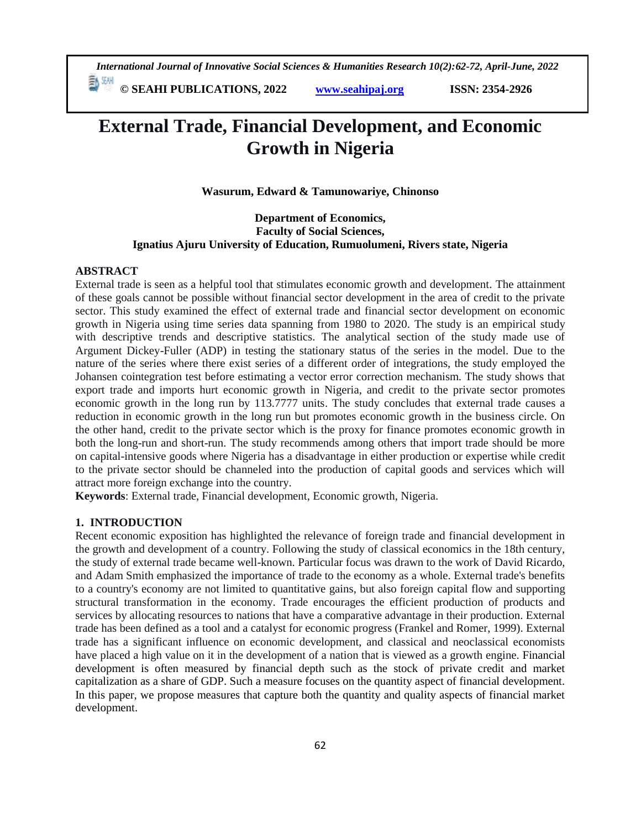*International Journal of Innovative Social Sciences & Humanities Research 10(2):62-72, April-June, 2022*

 **© SEAHI PUBLICATIONS, 2022 [www.seahipaj.org](http://www.seahipaj.org/) ISSN: 2354-2926** 

# **External Trade, Financial Development, and Economic Growth in Nigeria**

**Wasurum, Edward & Tamunowariye, Chinonso**

# **Department of Economics, Faculty of Social Sciences, Ignatius Ajuru University of Education, Rumuolumeni, Rivers state, Nigeria**

#### **ABSTRACT**

External trade is seen as a helpful tool that stimulates economic growth and development. The attainment of these goals cannot be possible without financial sector development in the area of credit to the private sector. This study examined the effect of external trade and financial sector development on economic growth in Nigeria using time series data spanning from 1980 to 2020. The study is an empirical study with descriptive trends and descriptive statistics. The analytical section of the study made use of Argument Dickey-Fuller (ADP) in testing the stationary status of the series in the model. Due to the nature of the series where there exist series of a different order of integrations, the study employed the Johansen cointegration test before estimating a vector error correction mechanism. The study shows that export trade and imports hurt economic growth in Nigeria, and credit to the private sector promotes economic growth in the long run by 113.7777 units. The study concludes that external trade causes a reduction in economic growth in the long run but promotes economic growth in the business circle. On the other hand, credit to the private sector which is the proxy for finance promotes economic growth in both the long-run and short-run. The study recommends among others that import trade should be more on capital-intensive goods where Nigeria has a disadvantage in either production or expertise while credit to the private sector should be channeled into the production of capital goods and services which will attract more foreign exchange into the country.

**Keywords**: External trade, Financial development, Economic growth, Nigeria.

# **1. INTRODUCTION**

Recent economic exposition has highlighted the relevance of foreign trade and financial development in the growth and development of a country. Following the study of classical economics in the 18th century, the study of external trade became well-known. Particular focus was drawn to the work of David Ricardo, and Adam Smith emphasized the importance of trade to the economy as a whole. External trade's benefits to a country's economy are not limited to quantitative gains, but also foreign capital flow and supporting structural transformation in the economy. Trade encourages the efficient production of products and services by allocating resources to nations that have a comparative advantage in their production. External trade has been defined as a tool and a catalyst for economic progress (Frankel and Romer, 1999). External trade has a significant influence on economic development, and classical and neoclassical economists have placed a high value on it in the development of a nation that is viewed as a growth engine. Financial development is often measured by financial depth such as the stock of private credit and market capitalization as a share of GDP. Such a measure focuses on the quantity aspect of financial development. In this paper, we propose measures that capture both the quantity and quality aspects of financial market development.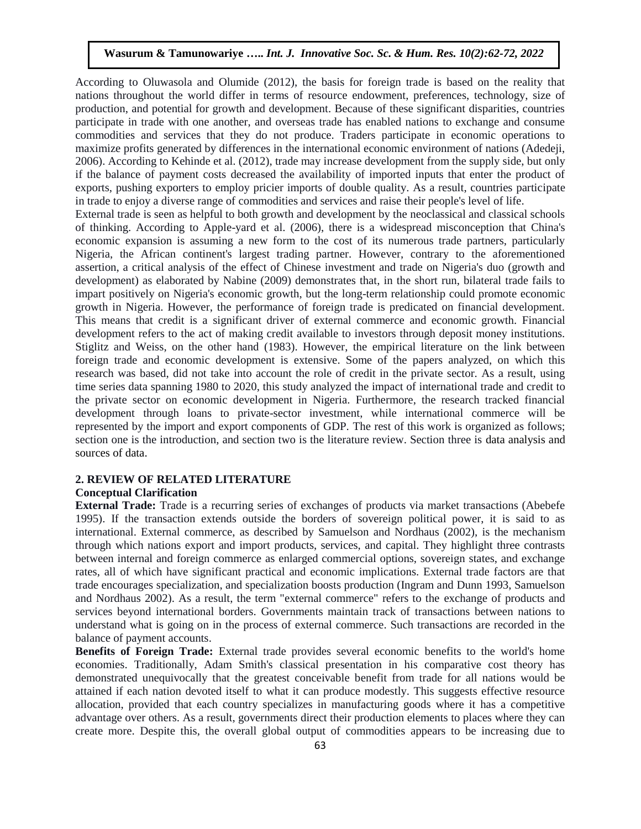According to Oluwasola and Olumide (2012), the basis for foreign trade is based on the reality that nations throughout the world differ in terms of resource endowment, preferences, technology, size of production, and potential for growth and development. Because of these significant disparities, countries participate in trade with one another, and overseas trade has enabled nations to exchange and consume commodities and services that they do not produce. Traders participate in economic operations to maximize profits generated by differences in the international economic environment of nations (Adedeji, 2006). According to Kehinde et al. (2012), trade may increase development from the supply side, but only if the balance of payment costs decreased the availability of imported inputs that enter the product of exports, pushing exporters to employ pricier imports of double quality. As a result, countries participate in trade to enjoy a diverse range of commodities and services and raise their people's level of life.

External trade is seen as helpful to both growth and development by the neoclassical and classical schools of thinking. According to Apple-yard et al. (2006), there is a widespread misconception that China's economic expansion is assuming a new form to the cost of its numerous trade partners, particularly Nigeria, the African continent's largest trading partner. However, contrary to the aforementioned assertion, a critical analysis of the effect of Chinese investment and trade on Nigeria's duo (growth and development) as elaborated by Nabine (2009) demonstrates that, in the short run, bilateral trade fails to impart positively on Nigeria's economic growth, but the long-term relationship could promote economic growth in Nigeria. However, the performance of foreign trade is predicated on financial development. This means that credit is a significant driver of external commerce and economic growth. Financial development refers to the act of making credit available to investors through deposit money institutions. Stiglitz and Weiss, on the other hand (1983). However, the empirical literature on the link between foreign trade and economic development is extensive. Some of the papers analyzed, on which this research was based, did not take into account the role of credit in the private sector. As a result, using time series data spanning 1980 to 2020, this study analyzed the impact of international trade and credit to the private sector on economic development in Nigeria. Furthermore, the research tracked financial development through loans to private-sector investment, while international commerce will be represented by the import and export components of GDP. The rest of this work is organized as follows; section one is the introduction, and section two is the literature review. Section three is data analysis and sources of data.

## **2. REVIEW OF RELATED LITERATURE**

#### **Conceptual Clarification**

**External Trade:** Trade is a recurring series of exchanges of products via market transactions (Abebefe 1995). If the transaction extends outside the borders of sovereign political power, it is said to as international. External commerce, as described by Samuelson and Nordhaus (2002), is the mechanism through which nations export and import products, services, and capital. They highlight three contrasts between internal and foreign commerce as enlarged commercial options, sovereign states, and exchange rates, all of which have significant practical and economic implications. External trade factors are that trade encourages specialization, and specialization boosts production (Ingram and Dunn 1993, Samuelson and Nordhaus 2002). As a result, the term "external commerce" refers to the exchange of products and services beyond international borders. Governments maintain track of transactions between nations to understand what is going on in the process of external commerce. Such transactions are recorded in the balance of payment accounts.

**Benefits of Foreign Trade:** External trade provides several economic benefits to the world's home economies. Traditionally, Adam Smith's classical presentation in his comparative cost theory has demonstrated unequivocally that the greatest conceivable benefit from trade for all nations would be attained if each nation devoted itself to what it can produce modestly. This suggests effective resource allocation, provided that each country specializes in manufacturing goods where it has a competitive advantage over others. As a result, governments direct their production elements to places where they can create more. Despite this, the overall global output of commodities appears to be increasing due to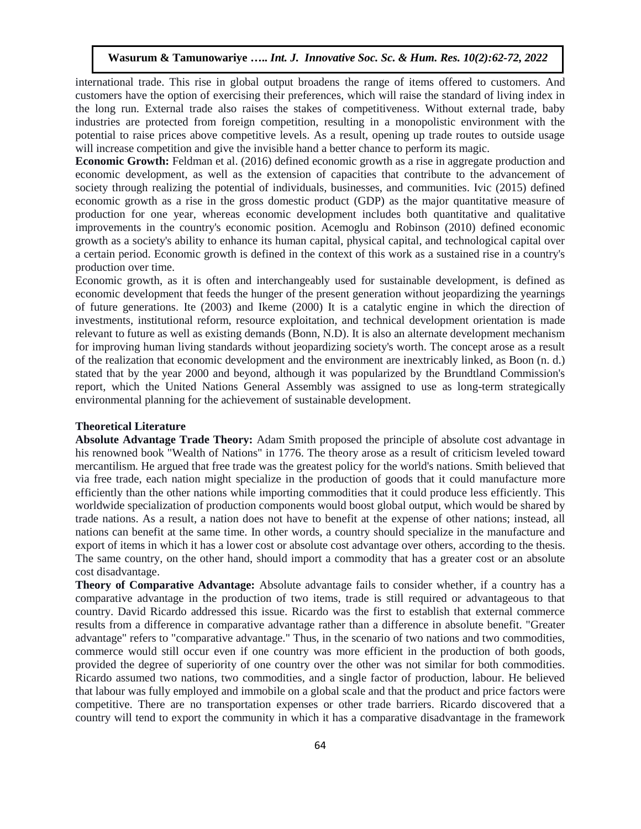international trade. This rise in global output broadens the range of items offered to customers. And customers have the option of exercising their preferences, which will raise the standard of living index in the long run. External trade also raises the stakes of competitiveness. Without external trade, baby industries are protected from foreign competition, resulting in a monopolistic environment with the potential to raise prices above competitive levels. As a result, opening up trade routes to outside usage will increase competition and give the invisible hand a better chance to perform its magic.

**Economic Growth:** Feldman et al. (2016) defined economic growth as a rise in aggregate production and economic development, as well as the extension of capacities that contribute to the advancement of society through realizing the potential of individuals, businesses, and communities. Ivic (2015) defined economic growth as a rise in the gross domestic product (GDP) as the major quantitative measure of production for one year, whereas economic development includes both quantitative and qualitative improvements in the country's economic position. Acemoglu and Robinson (2010) defined economic growth as a society's ability to enhance its human capital, physical capital, and technological capital over a certain period. Economic growth is defined in the context of this work as a sustained rise in a country's production over time.

Economic growth, as it is often and interchangeably used for sustainable development, is defined as economic development that feeds the hunger of the present generation without jeopardizing the yearnings of future generations. Ite (2003) and Ikeme (2000) It is a catalytic engine in which the direction of investments, institutional reform, resource exploitation, and technical development orientation is made relevant to future as well as existing demands (Bonn, N.D). It is also an alternate development mechanism for improving human living standards without jeopardizing society's worth. The concept arose as a result of the realization that economic development and the environment are inextricably linked, as Boon (n. d.) stated that by the year 2000 and beyond, although it was popularized by the Brundtland Commission's report, which the United Nations General Assembly was assigned to use as long-term strategically environmental planning for the achievement of sustainable development.

# **Theoretical Literature**

**Absolute Advantage Trade Theory:** Adam Smith proposed the principle of absolute cost advantage in his renowned book "Wealth of Nations" in 1776. The theory arose as a result of criticism leveled toward mercantilism. He argued that free trade was the greatest policy for the world's nations. Smith believed that via free trade, each nation might specialize in the production of goods that it could manufacture more efficiently than the other nations while importing commodities that it could produce less efficiently. This worldwide specialization of production components would boost global output, which would be shared by trade nations. As a result, a nation does not have to benefit at the expense of other nations; instead, all nations can benefit at the same time. In other words, a country should specialize in the manufacture and export of items in which it has a lower cost or absolute cost advantage over others, according to the thesis. The same country, on the other hand, should import a commodity that has a greater cost or an absolute cost disadvantage.

**Theory of Comparative Advantage:** Absolute advantage fails to consider whether, if a country has a comparative advantage in the production of two items, trade is still required or advantageous to that country. David Ricardo addressed this issue. Ricardo was the first to establish that external commerce results from a difference in comparative advantage rather than a difference in absolute benefit. "Greater advantage" refers to "comparative advantage." Thus, in the scenario of two nations and two commodities, commerce would still occur even if one country was more efficient in the production of both goods, provided the degree of superiority of one country over the other was not similar for both commodities. Ricardo assumed two nations, two commodities, and a single factor of production, labour. He believed that labour was fully employed and immobile on a global scale and that the product and price factors were competitive. There are no transportation expenses or other trade barriers. Ricardo discovered that a country will tend to export the community in which it has a comparative disadvantage in the framework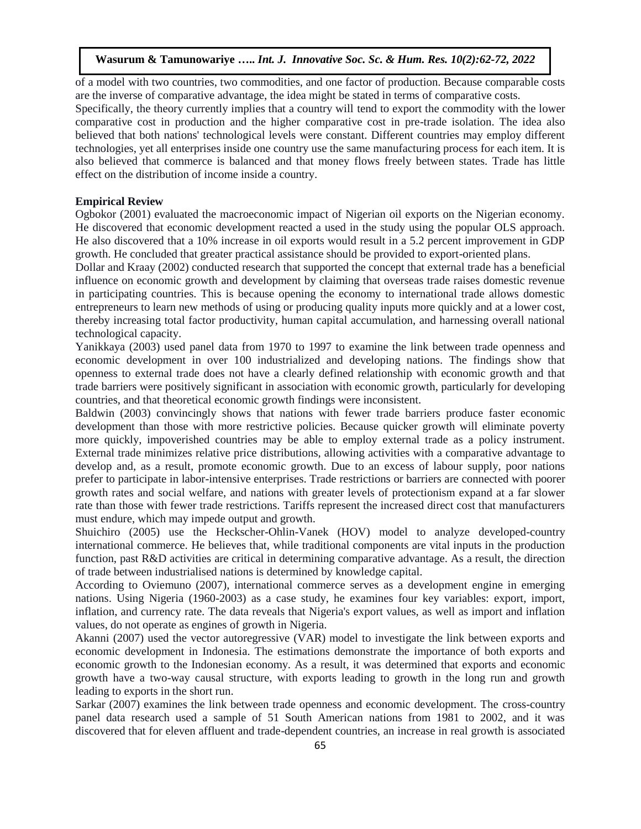of a model with two countries, two commodities, and one factor of production. Because comparable costs are the inverse of comparative advantage, the idea might be stated in terms of comparative costs.

Specifically, the theory currently implies that a country will tend to export the commodity with the lower comparative cost in production and the higher comparative cost in pre-trade isolation. The idea also believed that both nations' technological levels were constant. Different countries may employ different technologies, yet all enterprises inside one country use the same manufacturing process for each item. It is also believed that commerce is balanced and that money flows freely between states. Trade has little effect on the distribution of income inside a country.

#### **Empirical Review**

Ogbokor (2001) evaluated the macroeconomic impact of Nigerian oil exports on the Nigerian economy. He discovered that economic development reacted a used in the study using the popular OLS approach. He also discovered that a 10% increase in oil exports would result in a 5.2 percent improvement in GDP growth. He concluded that greater practical assistance should be provided to export-oriented plans.

Dollar and Kraay (2002) conducted research that supported the concept that external trade has a beneficial influence on economic growth and development by claiming that overseas trade raises domestic revenue in participating countries. This is because opening the economy to international trade allows domestic entrepreneurs to learn new methods of using or producing quality inputs more quickly and at a lower cost, thereby increasing total factor productivity, human capital accumulation, and harnessing overall national technological capacity.

Yanikkaya (2003) used panel data from 1970 to 1997 to examine the link between trade openness and economic development in over 100 industrialized and developing nations. The findings show that openness to external trade does not have a clearly defined relationship with economic growth and that trade barriers were positively significant in association with economic growth, particularly for developing countries, and that theoretical economic growth findings were inconsistent.

Baldwin (2003) convincingly shows that nations with fewer trade barriers produce faster economic development than those with more restrictive policies. Because quicker growth will eliminate poverty more quickly, impoverished countries may be able to employ external trade as a policy instrument. External trade minimizes relative price distributions, allowing activities with a comparative advantage to develop and, as a result, promote economic growth. Due to an excess of labour supply, poor nations prefer to participate in labor-intensive enterprises. Trade restrictions or barriers are connected with poorer growth rates and social welfare, and nations with greater levels of protectionism expand at a far slower rate than those with fewer trade restrictions. Tariffs represent the increased direct cost that manufacturers must endure, which may impede output and growth.

Shuichiro (2005) use the Heckscher-Ohlin-Vanek (HOV) model to analyze developed-country international commerce. He believes that, while traditional components are vital inputs in the production function, past R&D activities are critical in determining comparative advantage. As a result, the direction of trade between industrialised nations is determined by knowledge capital.

According to Oviemuno (2007), international commerce serves as a development engine in emerging nations. Using Nigeria (1960-2003) as a case study, he examines four key variables: export, import, inflation, and currency rate. The data reveals that Nigeria's export values, as well as import and inflation values, do not operate as engines of growth in Nigeria.

Akanni (2007) used the vector autoregressive (VAR) model to investigate the link between exports and economic development in Indonesia. The estimations demonstrate the importance of both exports and economic growth to the Indonesian economy. As a result, it was determined that exports and economic growth have a two-way causal structure, with exports leading to growth in the long run and growth leading to exports in the short run.

Sarkar (2007) examines the link between trade openness and economic development. The cross-country panel data research used a sample of 51 South American nations from 1981 to 2002, and it was discovered that for eleven affluent and trade-dependent countries, an increase in real growth is associated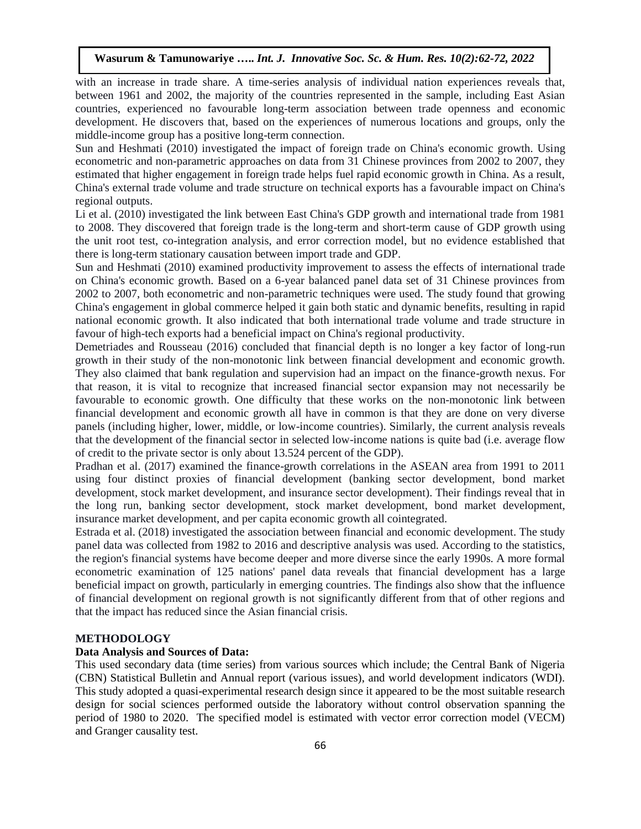with an increase in trade share. A time-series analysis of individual nation experiences reveals that, between 1961 and 2002, the majority of the countries represented in the sample, including East Asian countries, experienced no favourable long-term association between trade openness and economic development. He discovers that, based on the experiences of numerous locations and groups, only the middle-income group has a positive long-term connection.

Sun and Heshmati (2010) investigated the impact of foreign trade on China's economic growth. Using econometric and non-parametric approaches on data from 31 Chinese provinces from 2002 to 2007, they estimated that higher engagement in foreign trade helps fuel rapid economic growth in China. As a result, China's external trade volume and trade structure on technical exports has a favourable impact on China's regional outputs.

Li et al. (2010) investigated the link between East China's GDP growth and international trade from 1981 to 2008. They discovered that foreign trade is the long-term and short-term cause of GDP growth using the unit root test, co-integration analysis, and error correction model, but no evidence established that there is long-term stationary causation between import trade and GDP.

Sun and Heshmati (2010) examined productivity improvement to assess the effects of international trade on China's economic growth. Based on a 6-year balanced panel data set of 31 Chinese provinces from 2002 to 2007, both econometric and non-parametric techniques were used. The study found that growing China's engagement in global commerce helped it gain both static and dynamic benefits, resulting in rapid national economic growth. It also indicated that both international trade volume and trade structure in favour of high-tech exports had a beneficial impact on China's regional productivity.

Demetriades and Rousseau (2016) concluded that financial depth is no longer a key factor of long-run growth in their study of the non-monotonic link between financial development and economic growth. They also claimed that bank regulation and supervision had an impact on the finance-growth nexus. For that reason, it is vital to recognize that increased financial sector expansion may not necessarily be favourable to economic growth. One difficulty that these works on the non-monotonic link between financial development and economic growth all have in common is that they are done on very diverse panels (including higher, lower, middle, or low-income countries). Similarly, the current analysis reveals that the development of the financial sector in selected low-income nations is quite bad (i.e. average flow of credit to the private sector is only about 13.524 percent of the GDP).

Pradhan et al. (2017) examined the finance-growth correlations in the ASEAN area from 1991 to 2011 using four distinct proxies of financial development (banking sector development, bond market development, stock market development, and insurance sector development). Their findings reveal that in the long run, banking sector development, stock market development, bond market development, insurance market development, and per capita economic growth all cointegrated.

Estrada et al. (2018) investigated the association between financial and economic development. The study panel data was collected from 1982 to 2016 and descriptive analysis was used. According to the statistics, the region's financial systems have become deeper and more diverse since the early 1990s. A more formal econometric examination of 125 nations' panel data reveals that financial development has a large beneficial impact on growth, particularly in emerging countries. The findings also show that the influence of financial development on regional growth is not significantly different from that of other regions and that the impact has reduced since the Asian financial crisis.

# **METHODOLOGY**

## **Data Analysis and Sources of Data:**

This used secondary data (time series) from various sources which include; the Central Bank of Nigeria (CBN) Statistical Bulletin and Annual report (various issues), and world development indicators (WDI). This study adopted a quasi-experimental research design since it appeared to be the most suitable research design for social sciences performed outside the laboratory without control observation spanning the period of 1980 to 2020. The specified model is estimated with vector error correction model (VECM) and Granger causality test.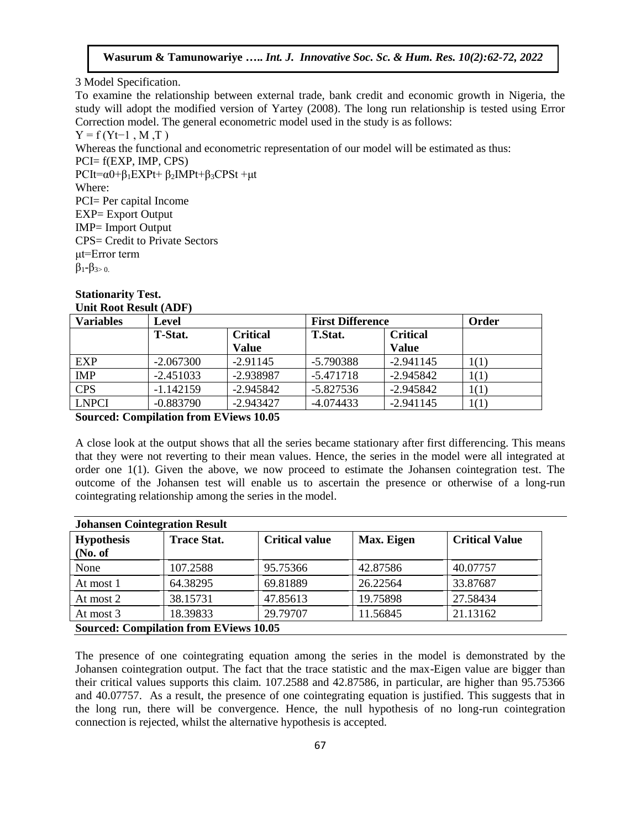3 Model Specification.

To examine the relationship between external trade, bank credit and economic growth in Nigeria, the study will adopt the modified version of Yartey (2008). The long run relationship is tested using Error Correction model. The general econometric model used in the study is as follows:

 $Y = f(Yt-1, M, T)$ Whereas the functional and econometric representation of our model will be estimated as thus: PCI= f(EXP, IMP, CPS)  $PCI = \alpha 0 + \beta_1 EXPt + \beta_2 IMPt + \beta_3 CPSt + \mu t$ Where: PCI= Per capital Income EXP= Export Output IMP= Import Output CPS= Credit to Private Sectors μt=Error term  $β_1 - β_3$ <sub>2</sub>.

# **Stationarity Test. Unit Root Result (ADF)**

| <b>Variables</b> | <b>Level</b>                      |              | <b>First Difference</b> | Order           |      |
|------------------|-----------------------------------|--------------|-------------------------|-----------------|------|
|                  | <b>T-Stat.</b><br><b>Critical</b> |              | <b>T.Stat.</b>          | <b>Critical</b> |      |
|                  |                                   | <b>Value</b> |                         | <b>Value</b>    |      |
| <b>EXP</b>       | $-2.067300$                       | $-2.91145$   | $-5.790388$             | $-2.941145$     | 1(1) |
| <b>IMP</b>       | $-2.451033$                       | $-2.938987$  | $-5.471718$             | $-2.945842$     | 1(1) |
| <b>CPS</b>       | $-1.142159$                       | $-2.945842$  | $-5.827536$             | $-2.945842$     | 1(1) |
| <b>LNPCI</b>     | $-0.883790$                       | $-2.943427$  | $-4.074433$             | $-2.941145$     | 1(1) |

**Sourced: Compilation from EViews 10.05**

A close look at the output shows that all the series became stationary after first differencing. This means that they were not reverting to their mean values. Hence, the series in the model were all integrated at order one 1(1). Given the above, we now proceed to estimate the Johansen cointegration test. The outcome of the Johansen test will enable us to ascertain the presence or otherwise of a long-run cointegrating relationship among the series in the model.

| <b>Johansen Cointegration Result</b>          |                    |                       |            |                       |  |  |  |
|-----------------------------------------------|--------------------|-----------------------|------------|-----------------------|--|--|--|
| <b>Hypothesis</b>                             | <b>Trace Stat.</b> | <b>Critical value</b> | Max. Eigen | <b>Critical Value</b> |  |  |  |
| (No. of                                       |                    |                       |            |                       |  |  |  |
| None                                          | 107.2588           | 95.75366              | 42.87586   | 40.07757              |  |  |  |
| At most 1                                     | 64.38295           | 69.81889              | 26.22564   | 33.87687              |  |  |  |
| At most 2                                     | 38.15731           | 47.85613              | 19.75898   | 27.58434              |  |  |  |
| At most 3                                     | 18.39833           | 29.79707              | 11.56845   | 21.13162              |  |  |  |
| <b>Sourced: Compilation from EViews 10.05</b> |                    |                       |            |                       |  |  |  |

The presence of one cointegrating equation among the series in the model is demonstrated by the Johansen cointegration output. The fact that the trace statistic and the max-Eigen value are bigger than their critical values supports this claim. 107.2588 and 42.87586, in particular, are higher than 95.75366 and 40.07757. As a result, the presence of one cointegrating equation is justified. This suggests that in the long run, there will be convergence. Hence, the null hypothesis of no long-run cointegration connection is rejected, whilst the alternative hypothesis is accepted.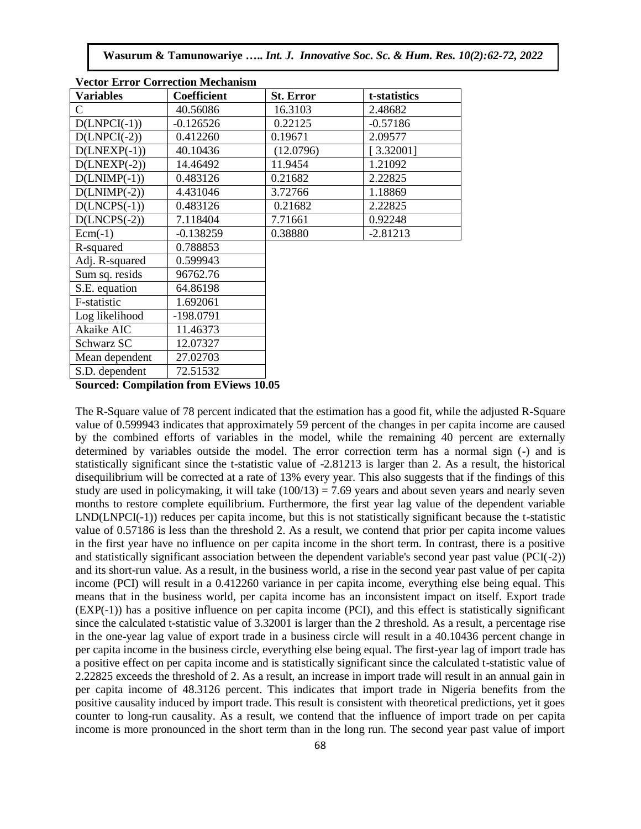**Wasurum & Tamunowariye …..** *Int. J. Innovative Soc. Sc. & Hum. Res. 10(2):62-72, 2022*

| vector error Correction Mechanism |                    |                  |              |  |  |  |  |
|-----------------------------------|--------------------|------------------|--------------|--|--|--|--|
| <b>Variables</b>                  | <b>Coefficient</b> | <b>St. Error</b> | t-statistics |  |  |  |  |
| C                                 | 40.56086           | 16.3103          | 2.48682      |  |  |  |  |
| $D(LNPCI(-1))$                    | $-0.126526$        | 0.22125          | $-0.57186$   |  |  |  |  |
| $D(LNPCI(-2))$                    | 0.412260           | 0.19671          | 2.09577      |  |  |  |  |
| $D(LNEXP(-1))$                    | 40.10436           | (12.0796)        | [3.32001]    |  |  |  |  |
| $D(LNEXP(-2))$                    | 14.46492           | 11.9454          | 1.21092      |  |  |  |  |
| $D(LNIMP(-1))$                    | 0.483126           | 0.21682          | 2.22825      |  |  |  |  |
| $D(LNIMP(-2))$                    | 4.431046           | 3.72766          | 1.18869      |  |  |  |  |
| $D(LNCPS(-1))$                    | 0.483126           | 0.21682          | 2.22825      |  |  |  |  |
| $D(LNCPS(-2))$                    | 7.118404           | 7.71661          | 0.92248      |  |  |  |  |
| $Ecm(-1)$                         | $-0.138259$        | 0.38880          | $-2.81213$   |  |  |  |  |
| R-squared                         | 0.788853           |                  |              |  |  |  |  |
| Adj. R-squared                    | 0.599943           |                  |              |  |  |  |  |
| Sum sq. resids                    | 96762.76           |                  |              |  |  |  |  |
| S.E. equation                     | 64.86198           |                  |              |  |  |  |  |
| F-statistic                       | 1.692061           |                  |              |  |  |  |  |
| Log likelihood                    | -198.0791          |                  |              |  |  |  |  |
| Akaike AIC                        | 11.46373           |                  |              |  |  |  |  |
| Schwarz SC                        | 12.07327           |                  |              |  |  |  |  |
| Mean dependent                    | 27.02703           |                  |              |  |  |  |  |
| S.D. dependent                    | 72.51532           |                  |              |  |  |  |  |

|  | <b>Vector Error Correction Mechanism</b> |
|--|------------------------------------------|
|--|------------------------------------------|

**Sourced: Compilation from EViews 10.05**

The R-Square value of 78 percent indicated that the estimation has a good fit, while the adjusted R-Square value of 0.599943 indicates that approximately 59 percent of the changes in per capita income are caused by the combined efforts of variables in the model, while the remaining 40 percent are externally determined by variables outside the model. The error correction term has a normal sign (-) and is statistically significant since the t-statistic value of -2.81213 is larger than 2. As a result, the historical disequilibrium will be corrected at a rate of 13% every year. This also suggests that if the findings of this study are used in policymaking, it will take  $(100/13) = 7.69$  years and about seven years and nearly seven months to restore complete equilibrium. Furthermore, the first year lag value of the dependent variable LND(LNPCI(-1)) reduces per capita income, but this is not statistically significant because the t-statistic value of 0.57186 is less than the threshold 2. As a result, we contend that prior per capita income values in the first year have no influence on per capita income in the short term. In contrast, there is a positive and statistically significant association between the dependent variable's second year past value (PCI(-2)) and its short-run value. As a result, in the business world, a rise in the second year past value of per capita income (PCI) will result in a 0.412260 variance in per capita income, everything else being equal. This means that in the business world, per capita income has an inconsistent impact on itself. Export trade (EXP(-1)) has a positive influence on per capita income (PCI), and this effect is statistically significant since the calculated t-statistic value of 3.32001 is larger than the 2 threshold. As a result, a percentage rise in the one-year lag value of export trade in a business circle will result in a 40.10436 percent change in per capita income in the business circle, everything else being equal. The first-year lag of import trade has a positive effect on per capita income and is statistically significant since the calculated t-statistic value of 2.22825 exceeds the threshold of 2. As a result, an increase in import trade will result in an annual gain in per capita income of 48.3126 percent. This indicates that import trade in Nigeria benefits from the positive causality induced by import trade. This result is consistent with theoretical predictions, yet it goes counter to long-run causality. As a result, we contend that the influence of import trade on per capita income is more pronounced in the short term than in the long run. The second year past value of import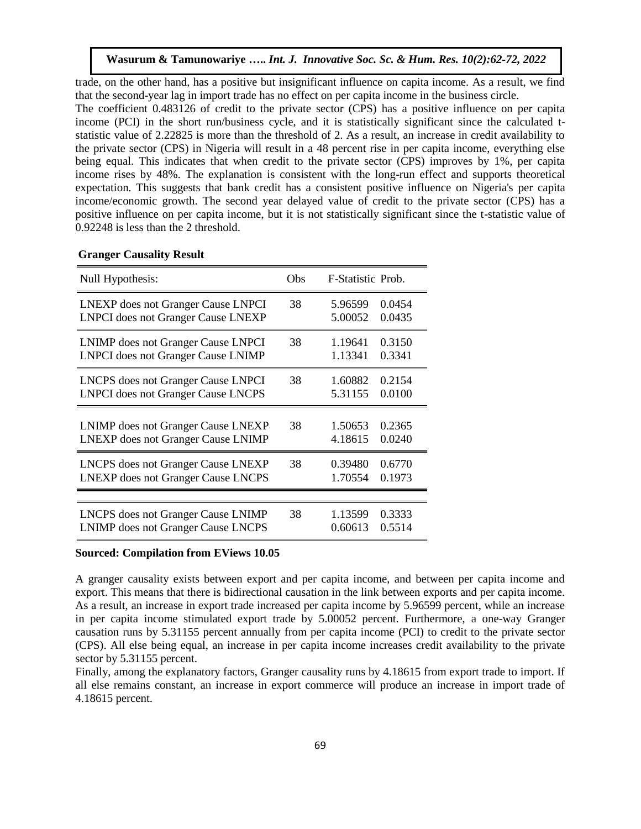trade, on the other hand, has a positive but insignificant influence on capita income. As a result, we find that the second-year lag in import trade has no effect on per capita income in the business circle.

The coefficient 0.483126 of credit to the private sector (CPS) has a positive influence on per capita income (PCI) in the short run/business cycle, and it is statistically significant since the calculated tstatistic value of 2.22825 is more than the threshold of 2. As a result, an increase in credit availability to the private sector (CPS) in Nigeria will result in a 48 percent rise in per capita income, everything else being equal. This indicates that when credit to the private sector (CPS) improves by 1%, per capita income rises by 48%. The explanation is consistent with the long-run effect and supports theoretical expectation. This suggests that bank credit has a consistent positive influence on Nigeria's per capita income/economic growth. The second year delayed value of credit to the private sector (CPS) has a positive influence on per capita income, but it is not statistically significant since the t-statistic value of 0.92248 is less than the 2 threshold.

| Null Hypothesis:                          | Obs | F-Statistic Prob. |        |
|-------------------------------------------|-----|-------------------|--------|
| <b>LNEXP</b> does not Granger Cause LNPCI | 38  | 5.96599           | 0.0454 |
| <b>LNPCI</b> does not Granger Cause LNEXP |     | 5.00052           | 0.0435 |
| LNIMP does not Granger Cause LNPCI        | 38  | 1.19641           | 0.3150 |
| <b>LNPCI</b> does not Granger Cause LNIMP |     | 1.13341           | 0.3341 |
| <b>LNCPS</b> does not Granger Cause LNPCI | 38  | 1.60882           | 0.2154 |
| <b>LNPCI</b> does not Granger Cause LNCPS |     | 5.31155           | 0.0100 |
| LNIMP does not Granger Cause LNEXP        | 38  | 1.50653           | 0.2365 |
| <b>LNEXP</b> does not Granger Cause LNIMP |     | 4.18615           | 0.0240 |
| <b>LNCPS</b> does not Granger Cause LNEXP | 38  | 0.39480           | 0.6770 |
| <b>LNEXP</b> does not Granger Cause LNCPS |     | 1.70554           | 0.1973 |
|                                           |     |                   |        |
| <b>LNCPS</b> does not Granger Cause LNIMP | 38  | 1.13599           | 0.3333 |
| <b>LNIMP</b> does not Granger Cause LNCPS |     | 0.60613           | 0.5514 |

## **Granger Causality Result**

## **Sourced: Compilation from EViews 10.05**

A granger causality exists between export and per capita income, and between per capita income and export. This means that there is bidirectional causation in the link between exports and per capita income. As a result, an increase in export trade increased per capita income by 5.96599 percent, while an increase in per capita income stimulated export trade by 5.00052 percent. Furthermore, a one-way Granger causation runs by 5.31155 percent annually from per capita income (PCI) to credit to the private sector (CPS). All else being equal, an increase in per capita income increases credit availability to the private sector by 5.31155 percent.

Finally, among the explanatory factors, Granger causality runs by 4.18615 from export trade to import. If all else remains constant, an increase in export commerce will produce an increase in import trade of 4.18615 percent.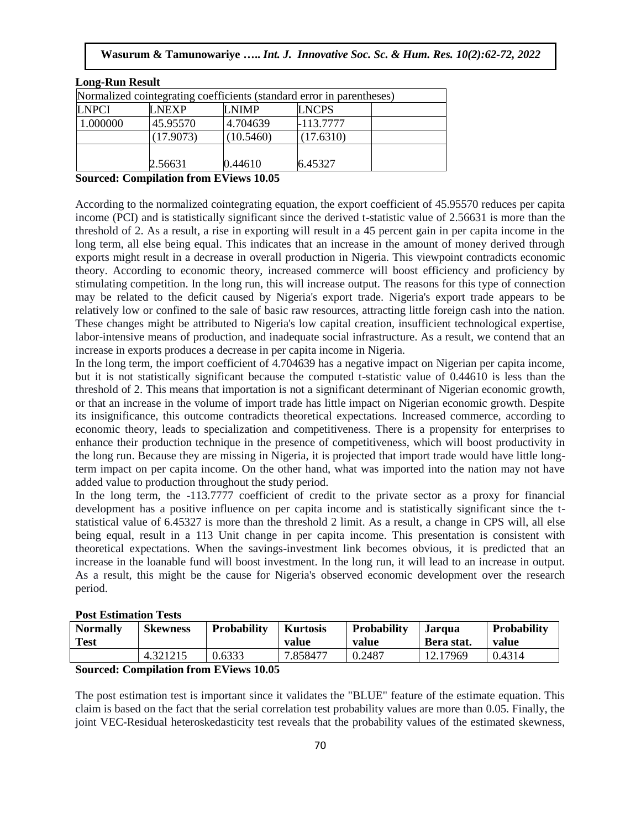| LNEXP     | I NIMP    | <b>LNCPS</b> |                                                                       |
|-----------|-----------|--------------|-----------------------------------------------------------------------|
| 45.95570  | 4.704639  | -113.7777    |                                                                       |
| (17.9073) | (10.5460) | (17.6310)    |                                                                       |
|           |           |              |                                                                       |
| 2.56631   | 0.44610   | 6.45327      |                                                                       |
|           | $\cdots$  | ----         | Normalized cointegrating coefficients (standard error in parentheses) |

## **Sourced: Compilation from EViews 10.05**

According to the normalized cointegrating equation, the export coefficient of 45.95570 reduces per capita income (PCI) and is statistically significant since the derived t-statistic value of 2.56631 is more than the threshold of 2. As a result, a rise in exporting will result in a 45 percent gain in per capita income in the long term, all else being equal. This indicates that an increase in the amount of money derived through exports might result in a decrease in overall production in Nigeria. This viewpoint contradicts economic theory. According to economic theory, increased commerce will boost efficiency and proficiency by stimulating competition. In the long run, this will increase output. The reasons for this type of connection may be related to the deficit caused by Nigeria's export trade. Nigeria's export trade appears to be relatively low or confined to the sale of basic raw resources, attracting little foreign cash into the nation. These changes might be attributed to Nigeria's low capital creation, insufficient technological expertise, labor-intensive means of production, and inadequate social infrastructure. As a result, we contend that an increase in exports produces a decrease in per capita income in Nigeria.

In the long term, the import coefficient of 4.704639 has a negative impact on Nigerian per capita income, but it is not statistically significant because the computed t-statistic value of 0.44610 is less than the threshold of 2. This means that importation is not a significant determinant of Nigerian economic growth, or that an increase in the volume of import trade has little impact on Nigerian economic growth. Despite its insignificance, this outcome contradicts theoretical expectations. Increased commerce, according to economic theory, leads to specialization and competitiveness. There is a propensity for enterprises to enhance their production technique in the presence of competitiveness, which will boost productivity in the long run. Because they are missing in Nigeria, it is projected that import trade would have little longterm impact on per capita income. On the other hand, what was imported into the nation may not have added value to production throughout the study period.

In the long term, the -113.7777 coefficient of credit to the private sector as a proxy for financial development has a positive influence on per capita income and is statistically significant since the tstatistical value of 6.45327 is more than the threshold 2 limit. As a result, a change in CPS will, all else being equal, result in a 113 Unit change in per capita income. This presentation is consistent with theoretical expectations. When the savings-investment link becomes obvious, it is predicted that an increase in the loanable fund will boost investment. In the long run, it will lead to an increase in output. As a result, this might be the cause for Nigeria's observed economic development over the research period.

## **Post Estimation Tests**

| <b>Normally</b><br>Test | <b>Skewness</b> | <b>Probability</b> | <b>Kurtosis</b><br>value | Probability<br>value | Jarqua<br>Bera stat. | Probability<br>value |
|-------------------------|-----------------|--------------------|--------------------------|----------------------|----------------------|----------------------|
|                         | 4.321215        | 0.6333             | 7.858477                 | 0.2487               | 12.17969             | 0.4314               |

**Sourced: Compilation from EViews 10.05**

The post estimation test is important since it validates the "BLUE" feature of the estimate equation. This claim is based on the fact that the serial correlation test probability values are more than 0.05. Finally, the joint VEC-Residual heteroskedasticity test reveals that the probability values of the estimated skewness,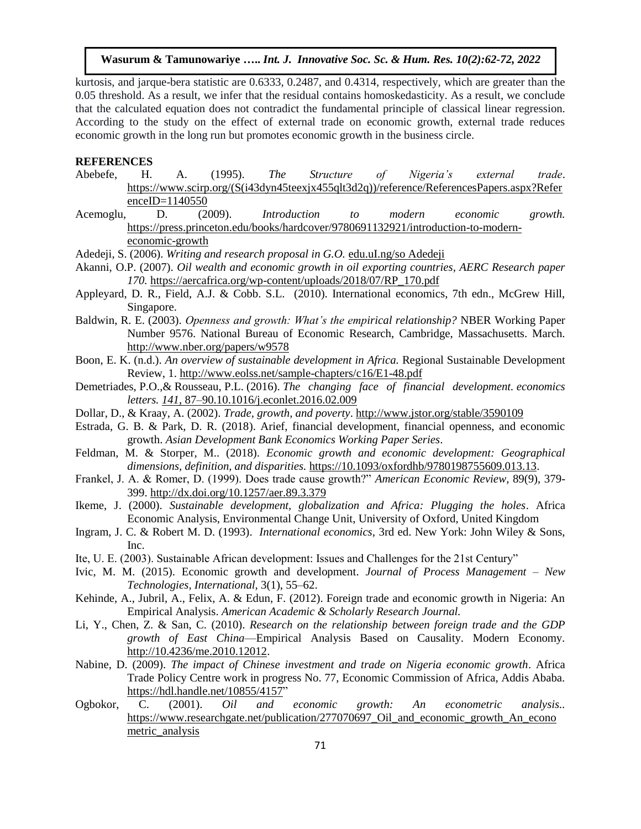kurtosis, and jarque-bera statistic are 0.6333, 0.2487, and 0.4314, respectively, which are greater than the 0.05 threshold. As a result, we infer that the residual contains homoskedasticity. As a result, we conclude that the calculated equation does not contradict the fundamental principle of classical linear regression. According to the study on the effect of external trade on economic growth, external trade reduces economic growth in the long run but promotes economic growth in the business circle.

#### **REFERENCES**

- Abebefe, H. A. (1995). *The Structure of Nigeria's external trade*. [https://www.scirp.org/\(S\(i43dyn45teexjx455qlt3d2q\)\)/reference/ReferencesPapers.aspx?Refer](https://www.scirp.org/(S(i43dyn45teexjx455qlt3d2q))/reference/ReferencesPapers.aspx?ReferenceID=1140550) [enceID=1140550](https://www.scirp.org/(S(i43dyn45teexjx455qlt3d2q))/reference/ReferencesPapers.aspx?ReferenceID=1140550)
- Acemoglu, D. (2009). *Introduction to modern economic growth.* [https://press.princeton.edu/books/hardcover/9780691132921/introduction-to-modern](https://press.princeton.edu/books/hardcover/9780691132921/introduction-to-modern-economic-growth)[economic-growth](https://press.princeton.edu/books/hardcover/9780691132921/introduction-to-modern-economic-growth)

Adedeji, S. (2006). *Writing and research proposal in G.O.* edu.uI.ng/so Adedeji

- Akanni, O.P. (2007). *Oil wealth and economic growth in oil exporting countries, AERC Research paper 170.* [https://aercafrica.org/wp-content/uploads/2018/07/RP\\_170.pdf](https://aercafrica.org/wp-content/uploads/2018/07/RP_170.pdf)
- Appleyard, D. R., Field, A.J. & Cobb. S.L. (2010). International economics, 7th edn., McGrew Hill, Singapore.
- Baldwin, R. E. (2003). *Openness and growth: What's the empirical relationship?* NBER Working Paper Number 9576. National Bureau of Economic Research, Cambridge, Massachusetts. March. <http://www.nber.org/papers/w9578>
- Boon, E. K. (n.d.). *An overview of sustainable development in Africa.* Regional Sustainable Development Review, 1[. http://www.eolss.net/sample-chapters/c16/E1-48.pdf](http://www.eolss.net/sample-chapters/c16/E1-48.pdf)
- Demetriades, P.O.,& Rousseau, P.L. (2016). *The changing face of financial development. economics letters. 141*, 87–90.10.1016/j.econlet.2016.02.009
- Dollar, D., & Kraay, A. (2002). *Trade, growth, and poverty*.<http://www.jstor.org/stable/3590109>
- Estrada, G. B. & Park, D. R. (2018). Arief, financial development, financial openness, and economic growth. *Asian Development Bank Economics Working Paper Series*.
- Feldman, M. & Storper, M.. (2018). *Economic growth and economic development: Geographical dimensions, definition, and disparities.* [https://10.1093/oxfordhb/9780198755609.013.13.](https://10.0.4.69/oxfordhb/9780198755609.013.13)
- Frankel, J. A. & Romer, D. (1999). Does trade cause growth?" *American Economic Review*, 89(9), 379- 399.<http://dx.doi.org/10.1257/aer.89.3.379>
- Ikeme, J. (2000). *Sustainable development, globalization and Africa: Plugging the holes*. Africa Economic Analysis, Environmental Change Unit, University of Oxford, United Kingdom
- Ingram, J. C. & Robert M. D. (1993). *International economics,* 3rd ed. New York: John Wiley & Sons, Inc.
- Ite, U. E. (2003). Sustainable African development: Issues and Challenges for the 21st Century"
- Ivic, M. M. (2015). Economic growth and development. *Journal of Process Management – New Technologies, International,* 3(1), 55–62.
- Kehinde, A., Jubril, A., Felix, A. & Edun, F. (2012). Foreign trade and economic growth in Nigeria: An Empirical Analysis. *American Academic & Scholarly Research Journal.*
- Li, Y., Chen, Z. & San, C. (2010). *Research on the relationship between foreign trade and the GDP growth of East China*—Empirical Analysis Based on Causality. Modern Economy. [http://10.4236/me.2010.12012.](http://10.0.16.140/me.2010.12012)
- Nabine, D. (2009). *The impact of Chinese investment and trade on Nigeria economic growth*. Africa Trade Policy Centre work in progress No. 77, Economic Commission of Africa, Addis Ababa. [https://hdl.handle.net/10855/4157"](https://hdl.handle.net/10855/4157)
- Ogbokor, C. (2001). *Oil and economic growth: An econometric analysis..* https://www.researchgate.net/publication/277070697 Oil and economic growth An econo metric analysis